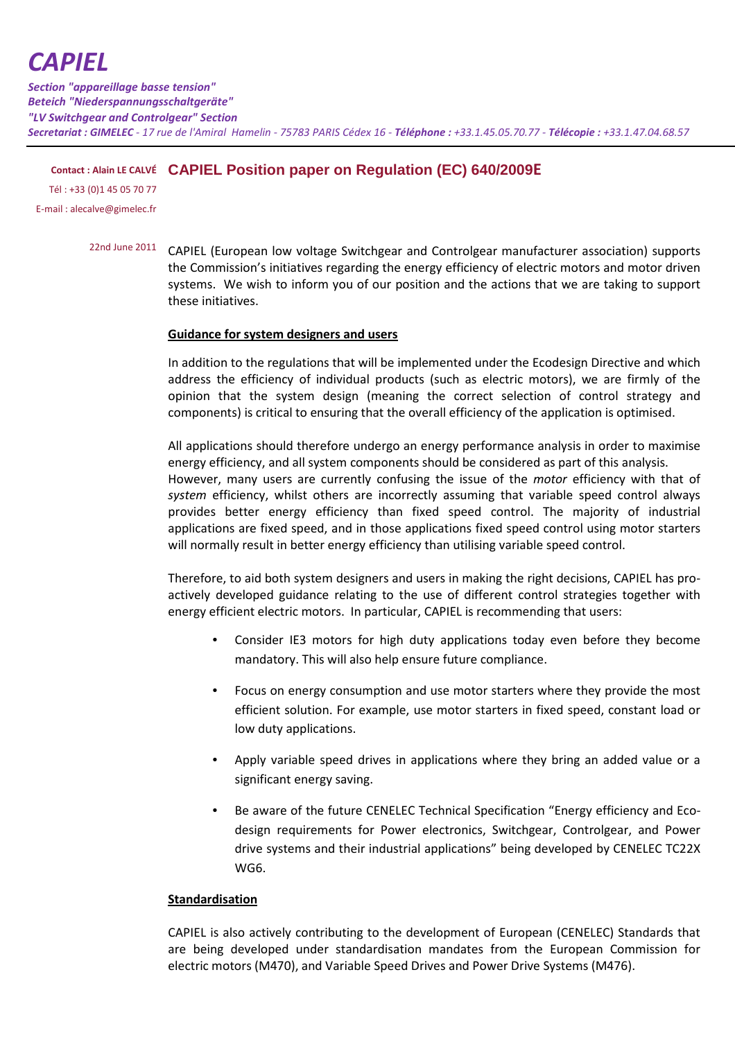# *CAPIEL*

*Section "appareillage basse tension" Beteich "Niederspannungsschaltgeräte" "LV Switchgear and Controlgear" Section Secretariat : GIMELEC - 17 rue de l'Amiral Hamelin - 75783 PARIS Cédex 16 - Téléphone : +33.1.45.05.70.77 - Télécopie : +33.1.47.04.68.57*

# **Contact : Alain LE CALVÉ CAPIEL Position paper on Regulation (EC) 640/2009E**

Tél : +33 (0)1 45 05 70 77 E-mail : alecalve@gimelec.fr

> 22nd June 2011 CAPIEL (European low voltage Switchgear and Controlgear manufacturer association) supports the Commission's initiatives regarding the energy efficiency of electric motors and motor driven systems. We wish to inform you of our position and the actions that we are taking to support these initiatives.

## **Guidance for system designers and users**

In addition to the regulations that will be implemented under the Ecodesign Directive and which address the efficiency of individual products (such as electric motors), we are firmly of the opinion that the system design (meaning the correct selection of control strategy and components) is critical to ensuring that the overall efficiency of the application is optimised.

All applications should therefore undergo an energy performance analysis in order to maximise energy efficiency, and all system components should be considered as part of this analysis. However, many users are currently confusing the issue of the *motor* efficiency with that of *system* efficiency, whilst others are incorrectly assuming that variable speed control always provides better energy efficiency than fixed speed control. The majority of industrial applications are fixed speed, and in those applications fixed speed control using motor starters will normally result in better energy efficiency than utilising variable speed control.

Therefore, to aid both system designers and users in making the right decisions, CAPIEL has proactively developed guidance relating to the use of different control strategies together with energy efficient electric motors. In particular, CAPIEL is recommending that users:

- Consider IE3 motors for high duty applications today even before they become mandatory. This will also help ensure future compliance.
- Focus on energy consumption and use motor starters where they provide the most efficient solution. For example, use motor starters in fixed speed, constant load or low duty applications.
- Apply variable speed drives in applications where they bring an added value or a significant energy saving.
- Be aware of the future CENELEC Technical Specification "Energy efficiency and Ecodesign requirements for Power electronics, Switchgear, Controlgear, and Power drive systems and their industrial applications" being developed by CENELEC TC22X WG6.

### **Standardisation**

CAPIEL is also actively contributing to the development of European (CENELEC) Standards that are being developed under standardisation mandates from the European Commission for electric motors (M470), and Variable Speed Drives and Power Drive Systems (M476).